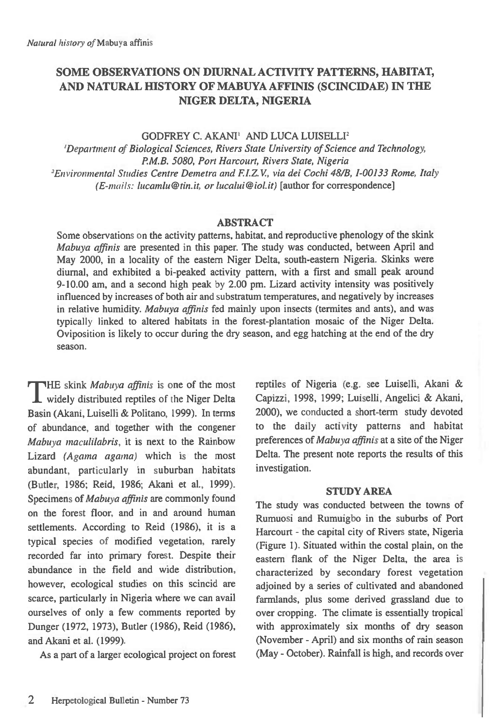# **SOME OBSERVATIONS ON DIURNAL ACTIVITY PATTERNS, HABITAT, AND NATURAL HISTORY OF MABUYA AFFINIS (SCINCIDAE) IN THE NIGER DELTA, NIGERIA**

GODFREY C. AKANI<sup>1</sup> AND LUCA LUISELLI<sup>2</sup>

*'Department of Biological Sciences, Rivers State University of Science and Technology, P.M.B. 5080, Port Harcourt, Rivers State, Nigeria*  <sup>2</sup> Environmental Studies Centre Demetra and F.I.Z.V., via dei Cochi 48/B, I-00133 Rome, Italy (E-mails: lucamlu@tin.it, *or lucalui@iol.it)* [author for correspondence]

# **ABSTRACT**

Some observations on the activity patterns, habitat, and reproductive phenology of the skink *Mabuya affinis are* presented in this paper. The study was conducted, between April and May 2000, in a locality of the eastern Niger Delta, south-eastern Nigeria. Skinks were diurnal, and exhibited a bi-peaked activity pattern, with a first and small peak around 9-10.00 am, and a second high peak by 2.00 pm. Lizard activity intensity was positively influenced by increases of both air and substratum temperatures, and negatively by increases in relative humidity. *Mabuya affinis* fed mainly upon insects (termites and ants), and was typically linked to altered habitats in the forest-plantation mosaic of the Niger Delta. Oviposition is likely to occur during the dry season, and egg hatching at the end of the dry season.

**THE** skink *Mabuya affinis* is one of the most I widely distributed reptiles of the Niger Delta Basin (Akani, Luiselli & Politano, 1999). In terms of abundance, and together with the congener *Mabuya maculilabris,* it is next to the Rainbow Lizard *(Agama agama)* which is the most abundant, particularly in suburban habitats (Butler, 1986; Reid, 1986; Akani et al., 1999). Specimens of *Mabuya affinis* are commonly found on the forest floor, and in and around human settlements. According to Reid (1986), it is a typical species of modified vegetation, rarely recorded far into primary forest. Despite their abundance in the field and wide distribution, however, ecological studies on this scincid are scarce, particularly in Nigeria where we can avail ourselves of only a few comments reported by Dunger (1972, 1973), Butler (1986), Reid (1986), and Akani et al. (1999).

As a part of a larger ecological project on forest

reptiles of Nigeria (e.g. see Luiselli, Akani & Capizzi, 1998, 1999; Luiselli, Angelici & Akani, 2000), we conducted a short-term study devoted to the daily activity patterns and habitat preferences of *Mabuya affinis at a site* of the Niger Delta. The present note reports the results of this investigation.

### **STUDY AREA**

The study was conducted between the towns of Rumuosi and Rumuigbo in the suburbs of Port Harcourt - the capital city of Rivers state, Nigeria (Figure 1). Situated within the costal plain, on the eastern flank of the Niger Delta, the area is characterized by secondary forest vegetation adjoined by a series of cultivated and abandoned farmlands, plus some derived grassland due to over cropping. The climate is essentially tropical with approximately six months of dry season (November - April) and six months of rain season (May - October). Rainfall is high, and records over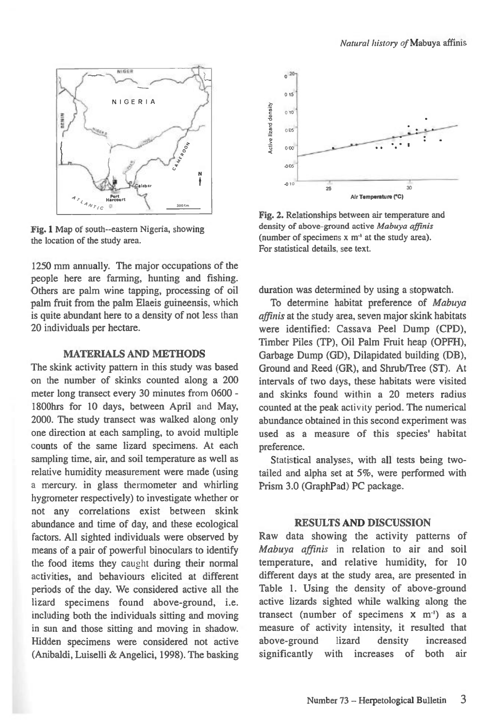

Fig. 1 Map of south--eastern Nigeria, showing the location of the study area.

1250 mm annually. The major occupations of the people here are farming, hunting and fishing. Others are palm wine tapping, processing of oil palm fruit from the palm Elaeis guineensis, which is quite abundant here to a density of not less than 20 individuals per hectare.

#### **MATERIALS AND METHODS**

The skink activity pattern in this study was based on the number of skinks counted along a 200 meter long transect every 30 minutes from 0600 - 1800hrs for 10 days, between April and May, 2000. The study transect was walked along only one direction at each sampling, to avoid multiple counts of the same lizard specimens. At each sampling time, air, and soil temperature as well as relative humidity measurement were made (using a mercury. in glass thermometer and whirling hygrometer respectively) to investigate whether or not any correlations exist between skink abundance and time of day, and these ecological factors. All sighted individuals were observed by means of a pair of powerful binoculars to identify the food items they caught during their normal activities, and behaviours elicited at different periods of the day. We considered active all the lizard specimens found above-ground, i.e. including both the individuals sitting and moving in sun and those sitting and moving in shadow. Hidden specimens were considered not active (Anibaldi, Luiselli & Angelici, 1998). The basking



Fig. 2. Relationships between air temperature and density of above-ground *active Mabuya affinis*  (number of specimens x m-' at the study area). For statistical details, see text.

duration was determined by using a stopwatch.

To determine habitat preference of *Mabuya affinis* at the study area, seven major skink habitats were identified: Cassava Peel Dump (CPD), Timber Piles (TP), Oil Palm Fruit heap (OPFH), Garbage Dump (GD), Dilapidated building (DB), Ground and Reed (GR), and Shrub/Tree (ST). At intervals of two days, these habitats were visited and skinks found within a 20 meters radius counted at the peak activity period. The numerical abundance obtained in this second experiment was used as a measure of this species' habitat preference.

Statistical analyses, with all tests being twotailed and alpha set at 5%, were performed with Prism 3.0 (GraphPad) PC package.

### **RESULTS AND DISCUSSION**

Raw data showing the activity patterns of *Mabuya affinis* in relation to air and soil temperature, and relative humidity, for 10 different days at the study area, are presented in Table 1. Using the density of above-ground active lizards sighted while walking along the transect (number of specimens  $x$  m<sup>-1</sup>) as a measure of activity intensity, it resulted that above-ground lizard density increased significantly with increases of both air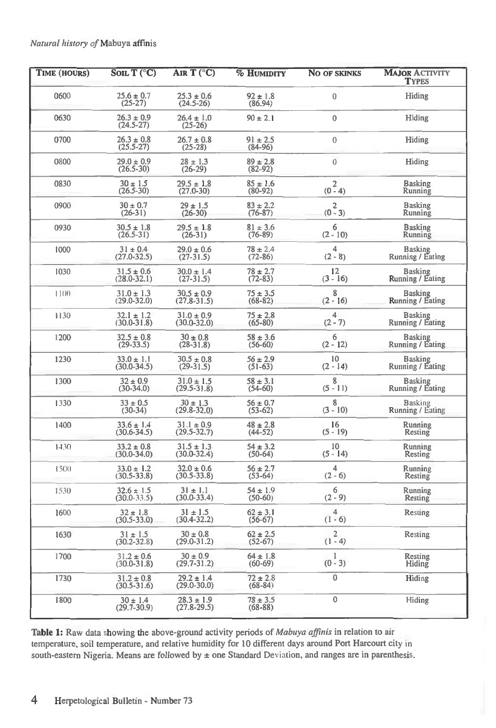| TIME (HOURS) | SOIL $T$ (°C)                     | AIR $T$ (°C)                      | <b>% HUMIDITY</b>           | <b>NO OF SKINKS</b> | <b>MAJOR ACTIVITY</b><br><b>TYPES</b> |  |
|--------------|-----------------------------------|-----------------------------------|-----------------------------|---------------------|---------------------------------------|--|
| 0600         | $25.6 \pm 0.7$<br>$(25-27)$       | $25.3 \pm 0.6$<br>$(24.5 - 26)$   | $92 \pm 1.8$<br>(86.94)     | $\overline{0}$      | Hiding                                |  |
| 0630         | $26.3 \pm 0.9$<br>$(24.5 - 27)$   | $26.4 \pm 1.0$<br>$(25-26)$       | $90 \pm 2.1$                | $\mathbf 0$         | Hiding                                |  |
| 0700         | $26.3 \pm 0.8$<br>$(25.5 - 27)$   | $26.7 \pm 0.8$<br>$(25-28)$       | $91 \pm 2.5$<br>$(84-96)$   | $\mathbf 0$         | Hiding                                |  |
| 0800         | $29.0 \pm 0.9$<br>$(26.5 - 30)$   | $28 \pm 1.3$<br>$(26-29)$         | $89 \pm 2.8$<br>$(82-92)$   | $\overline{0}$      | Hiding                                |  |
| 0830         | $30 \pm 1.5$<br>$(26.5 - 30)$     | $29.5 \pm 1.8$<br>$(27.0 - 30)$   | $85 \pm 1.6$<br>$(80-92)$   | $(0^2 - 4)$         | <b>Basking</b><br>Running             |  |
| 0900         | $30 \pm 0.7$<br>$(26-31)$         | $29 \pm 1.5$<br>$(26-30)$         | $83 \pm 2.2$<br>$(76 - 87)$ | $(0^2$ 3)           | <b>Basking</b><br>Running             |  |
| 0930         | $30.5 \pm 1.8$<br>$(26.5 - 31)$   | $29.5 \pm 1.8$<br>$(26-31)$       | $81 \pm 3.6$<br>$(76-89)$   | 6<br>$(2 - 10)$     | <b>Basking</b><br>Running             |  |
| 1000         | $31 \pm 0.4$<br>$(27.0 - 32.5)$   | $29.0 \pm 0.6$<br>$(27-31.5)$     | $78 \pm 2.4$<br>$(72 - 86)$ | 4<br>$(2 - 8)$      | <b>Basking</b><br>Running / Eating    |  |
| 1030         | $31.5 \pm 0.6$<br>$(28.0 - 32.1)$ | $30.0 \pm 1.4$<br>$(27-31.5)$     | $78 \pm 2.7$<br>$(72 - 83)$ | 12<br>$(3 - 16)$    | <b>Basking</b><br>Running / Eating    |  |
| 1100         | $31.0 \pm 1.3$<br>$(29.0 - 32.0)$ | $30.5 \pm 0.9$<br>$(27.8 - 31.5)$ | $75 \pm 3.5$<br>$(68-82)$   | 8<br>$(2 - 16)$     | <b>Basking</b><br>Running / Eating    |  |
| 1130         | $32.1 \pm 1.2$<br>(30.0-31.8)     | $31.0 \pm 0.9$<br>$(30.0 - 32.0)$ | $75 \pm 2.8$<br>$(65 - 80)$ | 4<br>$(2 - 7)$      | <b>Basking</b><br>Running / Eating    |  |
| 1200         | $32.5 \pm 0.8$<br>$(29-33.5)$     | $30 \pm 0.8$<br>$(28-31.8)$       | $58 \pm 3.6$<br>$(56-60)$   | 6<br>$(2 - 12)$     | Basking<br>Running / Eating           |  |
| 1230         | $33.0 \pm 1.1$<br>$(30.0 - 34.5)$ | $30.5 \pm 0.8$<br>$(29-31.5)$     | $56 \pm 2.9$<br>$(51-63)$   | 10<br>$(2 - 14)$    | <b>Basking</b><br>Running / Eating    |  |
| 1300         | $32 \pm 0.9$<br>$(30-34.0)$       | $31.0 \pm 1.5$<br>$(29.5 - 31.8)$ | $58 \pm 3.1$<br>$(54-60)$   | 8<br>$(5 - 11)$     | Basking<br>Running / Eating           |  |
| 1330         | $33 \pm 0.5$<br>$(30-34)$         | $30 \pm 1.3$<br>$(29.8 - 32.0)$   | $56 \pm 0.7$<br>$(53-62)$   | 8<br>$(3 - 10)$     | <b>Basking</b><br>Running / Eating    |  |
| 1400         | $33.6 \pm 1.4$<br>$(30.6 - 34.5)$ | $31.1 \pm 0.9$<br>$(29.5 - 32.7)$ | $48 \pm 2.8$<br>$(44-52)$   | 16<br>$(5 - 19)$    | Running<br>Resting                    |  |
| 1430         | $33.2 \pm 0.8$<br>$(30.0 - 34.0)$ | $31.5 \pm 1.3$<br>$(30.0 - 32.4)$ | $54 \pm 3.2$<br>$(50-64)$   | 10<br>$(5 - 14)$    | Running<br>Resting                    |  |
| 1500         | $33.0 \pm 1.2$<br>$(30.5 - 33.8)$ | $32.0 \pm 0.6$<br>$(30.5 - 33.8)$ | $56 \pm 2.7$<br>$(53-64)$   | 4<br>$(2 - 6)$      | Running<br>Resting                    |  |
| 1530         | $32.6 \pm 1.5$<br>$(30.0 - 33.5)$ | $31 \pm 1.1$<br>$(30.0 - 33.4)$   | $54 \pm 1.9$<br>$(50-60)$   | 6<br>$(2 - 9)$      | Running<br>Resting                    |  |
| 1600         | $32 \pm 1.8$<br>$(30.5 - 33.0)$   | $31 \pm 1.5$<br>$(30.4 - 32.2)$   | $62 \pm 3.1$<br>$(56-67)$   | 4<br>$(1 - 6)$      | Resting                               |  |
| 1630         | $31 \pm 1.5$<br>$(30.2 - 32.8)$   | $30 \pm 0.8$<br>$(29.0 - 31.2)$   | $62 \pm 2.5$<br>$(52-67)$   | 2<br>$(1 - 4)$      | Resting                               |  |
| 1700         | $31.2 \pm 0.6$<br>$(30.0 - 31.8)$ | $30 \pm 0.9$<br>$(29.7 - 31.2)$   | $64 \pm 1.8$<br>$(60-69)$   | 1<br>$(0 - 3)$      | Resting<br>Hiding                     |  |
| 1730         | $31.2 \pm 0.8$<br>$(30.5 - 31.6)$ | $29.2 \pm 1.4$<br>$(29.0 - 30.0)$ | $72 \pm 2.8$<br>$(68-84)$   | 0                   | Hiding                                |  |
| 1800         | $30 \pm 1.4$<br>$(29.7 - 30.9)$   | $28.3 \pm 1.9$<br>$(27.8 - 29.5)$ | $78 \pm 3.5$<br>$(68-88)$   | $\pmb{0}$           | Hiding                                |  |

**Table 1:** Raw data showing the above-ground activity periods of *Mabuya affinis* in relation to air temperature, soil temperature, and relative humidity for 10 different days around Port Harcourt city in south-eastern Nigeria. Means are followed by  $\pm$  one Standard Deviation, and ranges are in parenthesis.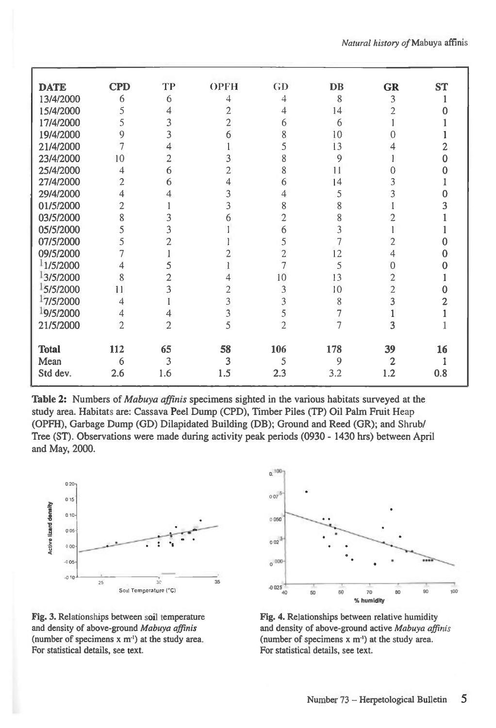| <b>DATE</b>  | <b>CPD</b>     | TP             | <b>OPFH</b>    | GD                       | DB  | <b>GR</b>      | <b>ST</b> |
|--------------|----------------|----------------|----------------|--------------------------|-----|----------------|-----------|
| 13/4/2000    | 6              | 6              | 4              | 4                        | 8   | 3              |           |
| 15/4/2000    | 5              | 4              | $\overline{2}$ | 4                        | 14  | $\overline{2}$ |           |
| 17/4/2000    | 5              | 3              | 2              | 6                        | 6   |                |           |
| 19/4/2000    | 9              | 3              | 6              | 8                        | 10  | Ω              |           |
| 21/4/2000    | 7              | 4              |                | 5                        | 13  | 4              |           |
| 23/4/2000    | 10             | $\overline{2}$ | 3              | 8                        | 9   |                |           |
| 25/4/2000    | 4              | 6              | 2              | 8                        | 11  |                |           |
| 27/4/2000    | $\overline{2}$ | 6              | 4              | 6                        | 14  | 3              |           |
| 29/4/2000    | 4              | 4              | 3              | 4                        | 5   | 3              |           |
| 01/5/2000    | $\overline{2}$ |                | 3              | 8                        | 8   |                |           |
| 03/5/2000    | 8              | 3              | 6              | $\overline{2}$           | 8   |                |           |
| 05/5/2000    | 5              | 3              |                | 6                        | 3   |                |           |
| 07/5/2000    | 5              |                |                | 5                        | 7   | $\overline{2}$ |           |
| 09/5/2000    | 7              |                |                | 2                        | 12  | 4              |           |
| 1/5/2000     | 4              |                |                |                          | 5   | $\Omega$       |           |
| 13/5/2000    | 8              | 2              |                | 10                       | 13  | $\overline{2}$ |           |
| 5/5/2000     | 11             | 3              | 2              | 3                        | 10  | $\overline{2}$ |           |
| 17/5/2000    | 4              |                | 3              | 3                        | 8   | $\overline{3}$ |           |
| 19/5/2000    | 4              | 4              | 3              | 5                        | 7   |                |           |
| 21/5/2000    | $\overline{2}$ | $\overline{2}$ | 5              | $\overline{\phantom{a}}$ | 7   | 3              |           |
|              |                |                |                |                          |     |                |           |
| <b>Total</b> | 112            | 65             | 58             | 106                      | 178 | 39             | 16        |
| Mean         | 6              | 3              | 3              | 5                        | 9   | 2              |           |
| Std dev.     | 2.6            | 1.6            | 1.5            | 2.3                      | 3.2 | 1.2            | 0.8       |

**Table 2:** Numbers of *Mabuya affinis* specimens sighted in the various habitats surveyed at the study area. Habitats are: Cassava Peel Dump (CPD), Timber Piles (TP) Oil Palm Fruit Heap (OPFH), Garbage Dump (GD) Dilapidated Building (DB); Ground and Reed (GR); and Shrub/ Tree (ST). Observations were made during activity peak periods (0930 - 1430 hrs) between April and May, 2000.



Fig. 3. Relationships between soil temperature Fig. 4. Relationships between relative humidity For statistical details, see text. For statistical details, see text.



and density of above-ground *Mabuya affinis* and density of above-ground active *Mabuya affinis*<br>(number of specimens x m<sup>-1</sup>) at the study area. (number of specimens x m<sup>-1</sup>) at the study area. (number of specimens  $x$  m<sup>-1</sup>) at the study area.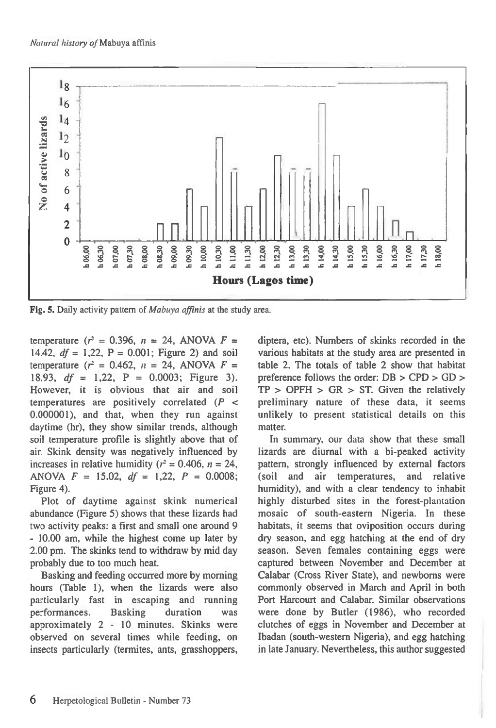

Fig. 5. Daily activity pattern of *Mabuya affinis at* the study area.

temperature ( $r^2 = 0.396$ ,  $n = 24$ , ANOVA  $F =$ 14.42,  $df = 1,22$ ,  $P = 0.001$ ; Figure 2) and soil temperature ( $r^2 = 0.462$ ,  $n = 24$ , ANOVA  $F =$ 18.93, *df =* 1,22, P = 0.0003; Figure 3). However, it is obvious that air and soil temperatures are positively correlated *(P <*  0.000001), and that, when they run against daytime (hr), they show similar trends, although soil temperature profile is slightly above that of air. Skink density was negatively influenced by increases in relative humidity  $(r^2 = 0.406, n = 24,$ ANOVA *F =* 15.02, *df* = 1,22, *P =* 0.0008; Figure 4).

Plot of daytime against skink numerical abundance (Figure 5) shows that these lizards had two activity peaks: a first and small one around 9 - 10.00 am, while the highest come up later by 2.00 pm. The skinks tend to withdraw by mid day probably due to too much heat.

Basking and feeding occurred more by morning hours (Table 1), when the lizards were also particularly fast in escaping and running performances. Basking duration was approximately 2 - 10 minutes. Skinks were observed on several times while feeding, on insects particularly (termites, ants, grasshoppers, diptera, etc). Numbers of skinks recorded in the various habitats at the study area are presented in table 2. The totals of table 2 show that habitat preference follows the order: DB > CPD > GD >  $TP > OPTH > GR > ST$ . Given the relatively preliminary nature of these data, it seems unlikely to present statistical details on this matter.

In summary, our data show that these small lizards are diurnal with a bi-peaked activity pattern, strongly influenced by external factors (soil and air temperatures, and relative humidity), and with a clear tendency to inhabit highly disturbed sites in the forest-plantation mosaic of south-eastern Nigeria. In these habitats, it seems that oviposition occurs during dry season, and egg hatching at the end of dry season. Seven females containing eggs were captured between November and December at Calabar (Cross River State), and newborns were commonly observed in March and April in both Port Harcourt and Calabar. Similar observations were done by Butler (1986), who recorded clutches of eggs in November and December at Ibadan (south-western Nigeria), and egg hatching in late January. Nevertheless, this author suggested